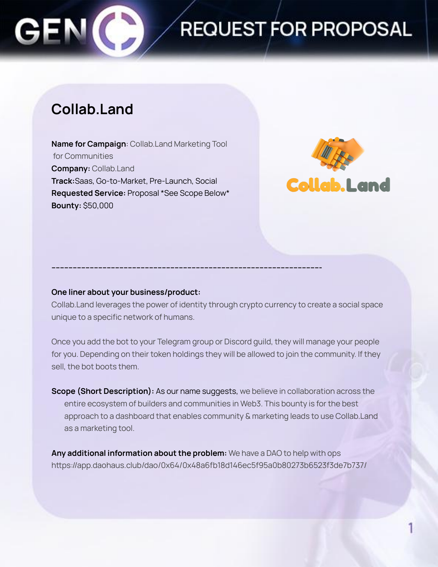

## **REQUEST FOR PROPOSAL**

### **Collab.Land**

**Name for Campaign**: Collab.Land Marketing Tool for Communities **Company:** Collab.Land **Track:**Saas, Go-to-Market, Pre-Launch, Social **Requested Service:** Proposal \*See Scope Below\* **Bounty:** \$50,000



### **One liner about your business/product:**

Collab.Land leverages the power of identity through crypto currency to create a social space unique to a specific network of humans.

**------------------------------------------------------------------------------------------------------------------------------**

Once you add the bot to your Telegram group or Discord guild, they will manage your people for you. Depending on their token holdings they will be allowed to join the community. If they sell, the bot boots them.

**Scope (Short Description):** As our name suggests, we believe in collaboration across the entire ecosystem of builders and communities in Web3. This bounty is for the best approach to a dashboard that enables community & marketing leads to use Collab.Land as a marketing tool.

**Any additional information about the problem:** We have a DAO to help with ops https://app.daohaus.club/dao/0x64/0x48a6fb18d146ec5f95a0b80273b6523f3de7b737/